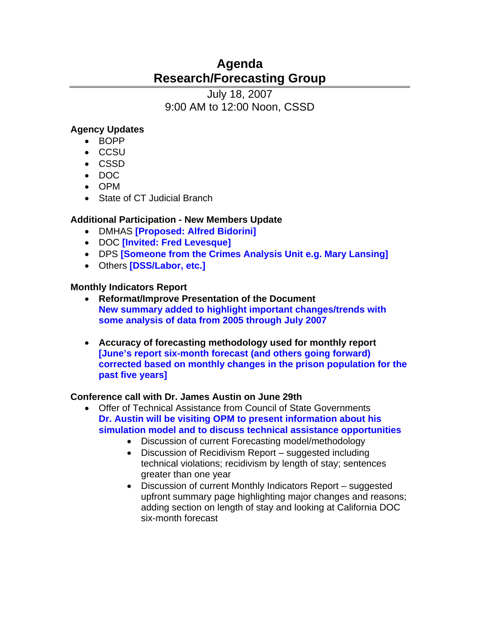# **Agenda Research/Forecasting Group**

July 18, 2007 9:00 AM to 12:00 Noon, CSSD

# **Agency Updates**

- BOPP
- CCSU
- CSSD
- DOC
- OPM
- State of CT Judicial Branch

## **Additional Participation - New Members Update**

- DMHAS **[Proposed: Alfred Bidorini]**
- DOC **[Invited: Fred Levesque]**
- DPS **[Someone from the Crimes Analysis Unit e.g. Mary Lansing]**
- Others **[DSS/Labor, etc.]**

## **Monthly Indicators Report**

- **Reformat/Improve Presentation of the Document New summary added to highlight important changes/trends with some analysis of data from 2005 through July 2007**
- **Accuracy of forecasting methodology used for monthly report [June's report six-month forecast (and others going forward) corrected based on monthly changes in the prison population for the past five years]**

## **Conference call with Dr. James Austin on June 29th**

- Offer of Technical Assistance from Council of State Governments **Dr. Austin will be visiting OPM to present information about his simulation model and to discuss technical assistance opportunities**
	- Discussion of current Forecasting model/methodology
	- Discussion of Recidivism Report suggested including technical violations; recidivism by length of stay; sentences greater than one year
	- Discussion of current Monthly Indicators Report suggested upfront summary page highlighting major changes and reasons; adding section on length of stay and looking at California DOC six-month forecast